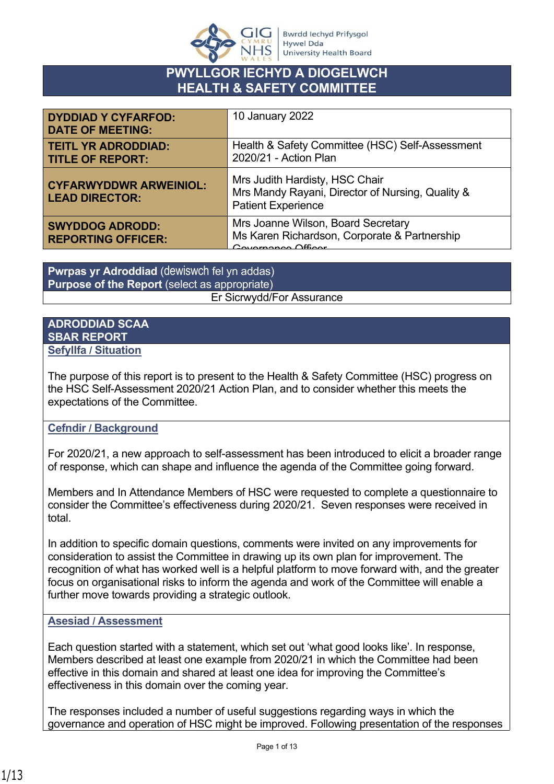

## **PWYLLGOR IECHYD A DIOGELWCH HEALTH & SAFETY COMMITTEE**

| <b>DYDDIAD Y CYFARFOD:</b><br><b>DATE OF MEETING:</b>  | 10 January 2022                                                                                                 |
|--------------------------------------------------------|-----------------------------------------------------------------------------------------------------------------|
| <b>TEITL YR ADRODDIAD:</b><br><b>TITLE OF REPORT:</b>  | Health & Safety Committee (HSC) Self-Assessment<br>2020/21 - Action Plan                                        |
| <b>CYFARWYDDWR ARWEINIOL:</b><br><b>LEAD DIRECTOR:</b> | Mrs Judith Hardisty, HSC Chair<br>Mrs Mandy Rayani, Director of Nursing, Quality &<br><b>Patient Experience</b> |
| <b>SWYDDOG ADRODD:</b><br><b>REPORTING OFFICER:</b>    | Mrs Joanne Wilson, Board Secretary<br>Ms Karen Richardson, Corporate & Partnership<br>Covernance Officer        |

**Pwrpas yr Adroddiad** (dewiswch fel yn addas) **Purpose of the Report** (select as appropriate) Er Sicrwydd/For Assurance

#### **ADRODDIAD SCAA SBAR REPORT Sefyllfa / Situation**

The purpose of this report is to present to the Health & Safety Committee (HSC) progress on the HSC Self-Assessment 2020/21 Action Plan, and to consider whether this meets the expectations of the Committee.

#### **Cefndir / Background**

For 2020/21, a new approach to self-assessment has been introduced to elicit a broader range of response, which can shape and influence the agenda of the Committee going forward.

Members and In Attendance Members of HSC were requested to complete a questionnaire to consider the Committee's effectiveness during 2020/21. Seven responses were received in total.

In addition to specific domain questions, comments were invited on any improvements for consideration to assist the Committee in drawing up its own plan for improvement. The recognition of what has worked well is a helpful platform to move forward with, and the greater focus on organisational risks to inform the agenda and work of the Committee will enable a further move towards providing a strategic outlook.

#### **Asesiad / Assessment**

Each question started with a statement, which set out 'what good looks like'. In response, Members described at least one example from 2020/21 in which the Committee had been effective in this domain and shared at least one idea for improving the Committee's effectiveness in this domain over the coming year.

The responses included a number of useful suggestions regarding ways in which the governance and operation of HSC might be improved. Following presentation of the responses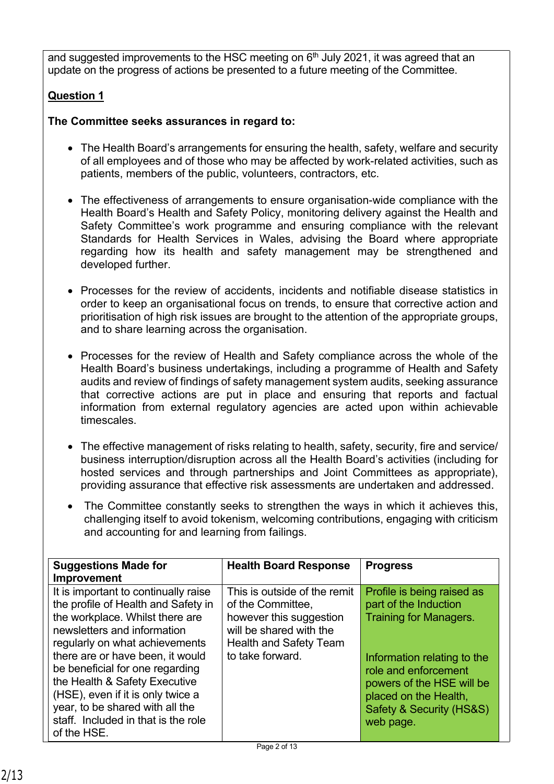and suggested improvements to the HSC meeting on  $6<sup>th</sup>$  July 2021, it was agreed that an update on the progress of actions be presented to a future meeting of the Committee.

## **Question 1**

**The Committee seeks assurances in regard to:** 

- The Health Board's arrangements for ensuring the health, safety, welfare and security of all employees and of those who may be affected by work-related activities, such as patients, members of the public, volunteers, contractors, etc.
- The effectiveness of arrangements to ensure organisation-wide compliance with the Health Board's Health and Safety Policy, monitoring delivery against the Health and Safety Committee's work programme and ensuring compliance with the relevant Standards for Health Services in Wales, advising the Board where appropriate regarding how its health and safety management may be strengthened and developed further.
- Processes for the review of accidents, incidents and notifiable disease statistics in order to keep an organisational focus on trends, to ensure that corrective action and prioritisation of high risk issues are brought to the attention of the appropriate groups, and to share learning across the organisation.
- Processes for the review of Health and Safety compliance across the whole of the Health Board's business undertakings, including a programme of Health and Safety audits and review of findings of safety management system audits, seeking assurance that corrective actions are put in place and ensuring that reports and factual information from external regulatory agencies are acted upon within achievable timescales.
- The effective management of risks relating to health, safety, security, fire and service/ business interruption/disruption across all the Health Board's activities (including for hosted services and through partnerships and Joint Committees as appropriate), providing assurance that effective risk assessments are undertaken and addressed.
- The Committee constantly seeks to strengthen the ways in which it achieves this, challenging itself to avoid tokenism, welcoming contributions, engaging with criticism and accounting for and learning from failings.

| <b>Suggestions Made for</b><br><b>Improvement</b>                                                                                                                                                                                                                                                                                                                                                                     | <b>Health Board Response</b>                                                                                                                                 | <b>Progress</b>                                                                                                                                                                                                                            |
|-----------------------------------------------------------------------------------------------------------------------------------------------------------------------------------------------------------------------------------------------------------------------------------------------------------------------------------------------------------------------------------------------------------------------|--------------------------------------------------------------------------------------------------------------------------------------------------------------|--------------------------------------------------------------------------------------------------------------------------------------------------------------------------------------------------------------------------------------------|
| It is important to continually raise<br>the profile of Health and Safety in<br>the workplace. Whilst there are<br>newsletters and information<br>regularly on what achievements<br>there are or have been, it would<br>be beneficial for one regarding<br>the Health & Safety Executive<br>(HSE), even if it is only twice a<br>year, to be shared with all the<br>staff. Included in that is the role<br>of the HSE. | This is outside of the remit<br>of the Committee,<br>however this suggestion<br>will be shared with the<br><b>Health and Safety Team</b><br>to take forward. | Profile is being raised as<br>part of the Induction<br><b>Training for Managers.</b><br>Information relating to the<br>role and enforcement<br>powers of the HSE will be<br>placed on the Health,<br>Safety & Security (HS&S)<br>web page. |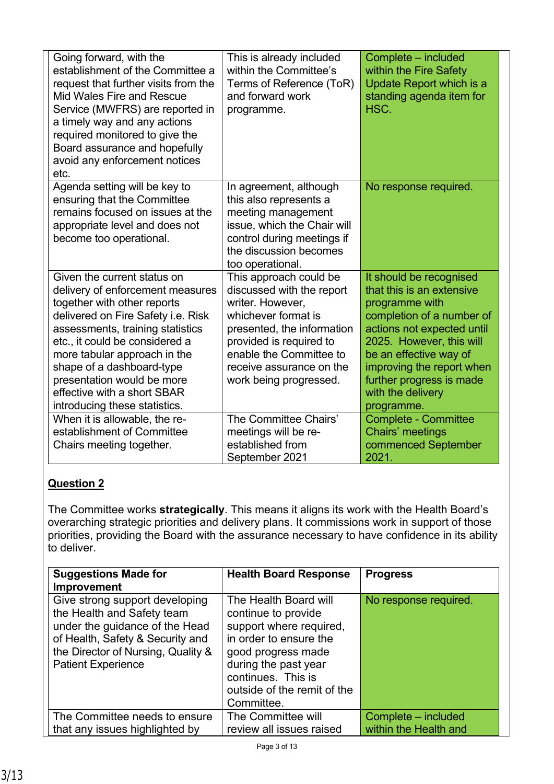| Going forward, with the<br>establishment of the Committee a<br>request that further visits from the<br>Mid Wales Fire and Rescue<br>Service (MWFRS) are reported in<br>a timely way and any actions<br>required monitored to give the<br>Board assurance and hopefully<br>avoid any enforcement notices<br>etc.                                                       | This is already included<br>within the Committee's<br>Terms of Reference (ToR)<br>and forward work<br>programme.                                                                                                                         | Complete - included<br>within the Fire Safety<br>Update Report which is a<br>standing agenda item for<br>HSC.                                                                                                                                                                       |
|-----------------------------------------------------------------------------------------------------------------------------------------------------------------------------------------------------------------------------------------------------------------------------------------------------------------------------------------------------------------------|------------------------------------------------------------------------------------------------------------------------------------------------------------------------------------------------------------------------------------------|-------------------------------------------------------------------------------------------------------------------------------------------------------------------------------------------------------------------------------------------------------------------------------------|
| Agenda setting will be key to<br>ensuring that the Committee<br>remains focused on issues at the<br>appropriate level and does not<br>become too operational.                                                                                                                                                                                                         | In agreement, although<br>this also represents a<br>meeting management<br>issue, which the Chair will<br>control during meetings if<br>the discussion becomes<br>too operational.                                                        | No response required.                                                                                                                                                                                                                                                               |
| Given the current status on<br>delivery of enforcement measures<br>together with other reports<br>delivered on Fire Safety i.e. Risk<br>assessments, training statistics<br>etc., it could be considered a<br>more tabular approach in the<br>shape of a dashboard-type<br>presentation would be more<br>effective with a short SBAR<br>introducing these statistics. | This approach could be<br>discussed with the report<br>writer. However,<br>whichever format is<br>presented, the information<br>provided is required to<br>enable the Committee to<br>receive assurance on the<br>work being progressed. | It should be recognised<br>that this is an extensive<br>programme with<br>completion of a number of<br>actions not expected until<br>2025. However, this will<br>be an effective way of<br>improving the report when<br>further progress is made<br>with the delivery<br>programme. |
| When it is allowable, the re-<br>establishment of Committee<br>Chairs meeting together.                                                                                                                                                                                                                                                                               | The Committee Chairs'<br>meetings will be re-<br>established from<br>September 2021                                                                                                                                                      | <b>Complete - Committee</b><br>Chairs' meetings<br>commenced September<br>2021.                                                                                                                                                                                                     |

The Committee works **strategically**. This means it aligns its work with the Health Board's overarching strategic priorities and delivery plans. It commissions work in support of those priorities, providing the Board with the assurance necessary to have confidence in its ability to deliver.

| <b>Suggestions Made for</b><br>Improvement                                                                                                                                                            | <b>Health Board Response</b>                                                                                                                                                                                       | <b>Progress</b>       |
|-------------------------------------------------------------------------------------------------------------------------------------------------------------------------------------------------------|--------------------------------------------------------------------------------------------------------------------------------------------------------------------------------------------------------------------|-----------------------|
| Give strong support developing<br>the Health and Safety team<br>under the guidance of the Head<br>of Health, Safety & Security and<br>the Director of Nursing, Quality &<br><b>Patient Experience</b> | The Health Board will<br>continue to provide<br>support where required,<br>in order to ensure the<br>good progress made<br>during the past year<br>continues. This is<br>outside of the remit of the<br>Committee. | No response required. |
| The Committee needs to ensure                                                                                                                                                                         | The Committee will                                                                                                                                                                                                 | Complete – included   |
| that any issues highlighted by                                                                                                                                                                        | review all issues raised                                                                                                                                                                                           | within the Health and |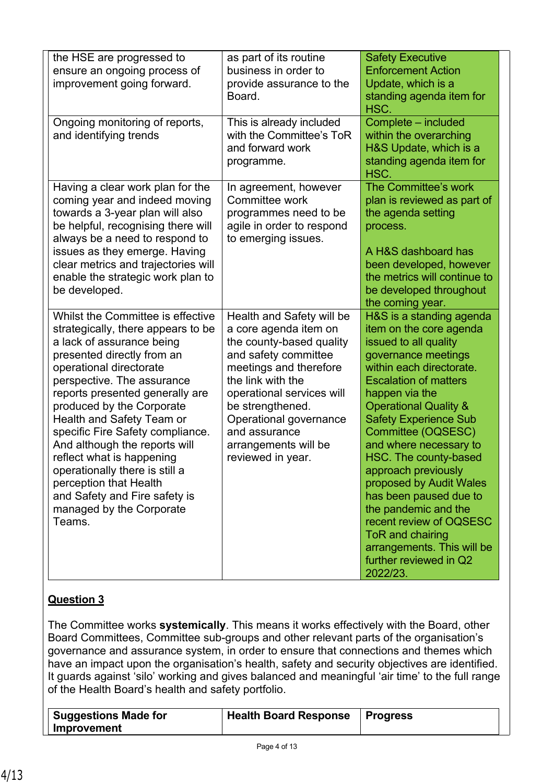| the HSE are progressed to<br>ensure an ongoing process of<br>improvement going forward.                                                                                                                                                                                                                                                                                                                                                                                                                                       | as part of its routine<br>business in order to<br>provide assurance to the<br>Board.                                                                                                                                                                                                           | <b>Safety Executive</b><br><b>Enforcement Action</b><br>Update, which is a<br>standing agenda item for<br>HSC.                                                                                                                                                                                                                                                                                                                                                                                                                                        |
|-------------------------------------------------------------------------------------------------------------------------------------------------------------------------------------------------------------------------------------------------------------------------------------------------------------------------------------------------------------------------------------------------------------------------------------------------------------------------------------------------------------------------------|------------------------------------------------------------------------------------------------------------------------------------------------------------------------------------------------------------------------------------------------------------------------------------------------|-------------------------------------------------------------------------------------------------------------------------------------------------------------------------------------------------------------------------------------------------------------------------------------------------------------------------------------------------------------------------------------------------------------------------------------------------------------------------------------------------------------------------------------------------------|
| Ongoing monitoring of reports,<br>and identifying trends                                                                                                                                                                                                                                                                                                                                                                                                                                                                      | This is already included<br>with the Committee's ToR<br>and forward work<br>programme.                                                                                                                                                                                                         | Complete - included<br>within the overarching<br>H&S Update, which is a<br>standing agenda item for<br>HSC.                                                                                                                                                                                                                                                                                                                                                                                                                                           |
| Having a clear work plan for the<br>coming year and indeed moving<br>towards a 3-year plan will also<br>be helpful, recognising there will<br>always be a need to respond to<br>issues as they emerge. Having<br>clear metrics and trajectories will<br>enable the strategic work plan to<br>be developed.                                                                                                                                                                                                                    | In agreement, however<br>Committee work<br>programmes need to be<br>agile in order to respond<br>to emerging issues.                                                                                                                                                                           | The Committee's work<br>plan is reviewed as part of<br>the agenda setting<br>process.<br>A H&S dashboard has<br>been developed, however<br>the metrics will continue to<br>be developed throughout<br>the coming year.                                                                                                                                                                                                                                                                                                                                |
| Whilst the Committee is effective<br>strategically, there appears to be<br>a lack of assurance being<br>presented directly from an<br>operational directorate<br>perspective. The assurance<br>reports presented generally are<br>produced by the Corporate<br>Health and Safety Team or<br>specific Fire Safety compliance.<br>And although the reports will<br>reflect what is happening<br>operationally there is still a<br>perception that Health<br>and Safety and Fire safety is<br>managed by the Corporate<br>Teams. | Health and Safety will be<br>a core agenda item on<br>the county-based quality<br>and safety committee<br>meetings and therefore<br>the link with the<br>operational services will<br>be strengthened.<br>Operational governance<br>and assurance<br>arrangements will be<br>reviewed in year. | H&S is a standing agenda<br>item on the core agenda<br>issued to all quality<br>governance meetings<br>within each directorate.<br><b>Escalation of matters</b><br>happen via the<br><b>Operational Quality &amp;</b><br><b>Safety Experience Sub</b><br>Committee (OQSESC)<br>and where necessary to<br>HSC. The county-based<br>approach previously<br>proposed by Audit Wales<br>has been paused due to<br>the pandemic and the<br>recent review of OQSESC<br>ToR and chairing<br>arrangements. This will be<br>further reviewed in Q2<br>2022/23. |

The Committee works **systemically**. This means it works effectively with the Board, other Board Committees, Committee sub-groups and other relevant parts of the organisation's governance and assurance system, in order to ensure that connections and themes which have an impact upon the organisation's health, safety and security objectives are identified. It guards against 'silo' working and gives balanced and meaningful 'air time' to the full range of the Health Board's health and safety portfolio.

| Suggestions Made for | Health Board Response   Progress |  |
|----------------------|----------------------------------|--|
| Improvement          |                                  |  |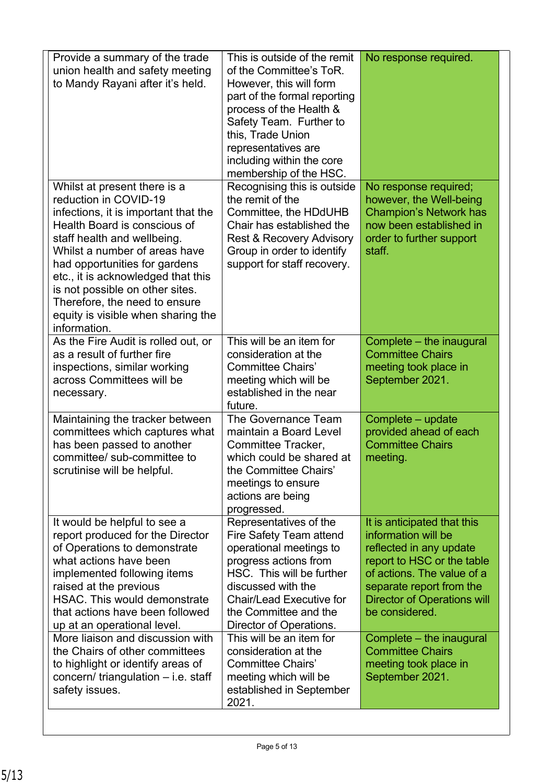| Provide a summary of the trade<br>union health and safety meeting<br>to Mandy Rayani after it's held.                                                                                                                                                                                                                                                                                          | This is outside of the remit<br>of the Committee's ToR.<br>However, this will form<br>part of the formal reporting<br>process of the Health &<br>Safety Team. Further to<br>this, Trade Union<br>representatives are<br>including within the core<br>membership of the HSC. | No response required.                                                                                                                                                                                                         |
|------------------------------------------------------------------------------------------------------------------------------------------------------------------------------------------------------------------------------------------------------------------------------------------------------------------------------------------------------------------------------------------------|-----------------------------------------------------------------------------------------------------------------------------------------------------------------------------------------------------------------------------------------------------------------------------|-------------------------------------------------------------------------------------------------------------------------------------------------------------------------------------------------------------------------------|
| Whilst at present there is a<br>reduction in COVID-19<br>infections, it is important that the<br>Health Board is conscious of<br>staff health and wellbeing.<br>Whilst a number of areas have<br>had opportunities for gardens<br>etc., it is acknowledged that this<br>is not possible on other sites.<br>Therefore, the need to ensure<br>equity is visible when sharing the<br>information. | Recognising this is outside<br>the remit of the<br>Committee, the HDdUHB<br>Chair has established the<br><b>Rest &amp; Recovery Advisory</b><br>Group in order to identify<br>support for staff recovery.                                                                   | No response required;<br>however, the Well-being<br><b>Champion's Network has</b><br>now been established in<br>order to further support<br>staff.                                                                            |
| As the Fire Audit is rolled out, or<br>as a result of further fire<br>inspections, similar working<br>across Committees will be<br>necessary.                                                                                                                                                                                                                                                  | This will be an item for<br>consideration at the<br><b>Committee Chairs'</b><br>meeting which will be<br>established in the near<br>future.                                                                                                                                 | Complete – the inaugural<br><b>Committee Chairs</b><br>meeting took place in<br>September 2021.                                                                                                                               |
| Maintaining the tracker between<br>committees which captures what<br>has been passed to another<br>committee/ sub-committee to<br>scrutinise will be helpful.                                                                                                                                                                                                                                  | The Governance Team<br>maintain a Board Level<br>Committee Tracker,<br>which could be shared at<br>the Committee Chairs'<br>meetings to ensure<br>actions are being<br>progressed.                                                                                          | Complete - update<br>provided ahead of each<br><b>Committee Chairs</b><br>meeting.                                                                                                                                            |
| It would be helpful to see a<br>report produced for the Director<br>of Operations to demonstrate<br>what actions have been<br>implemented following items<br>raised at the previous<br>HSAC. This would demonstrate<br>that actions have been followed<br>up at an operational level.                                                                                                          | Representatives of the<br>Fire Safety Team attend<br>operational meetings to<br>progress actions from<br>HSC. This will be further<br>discussed with the<br><b>Chair/Lead Executive for</b><br>the Committee and the<br>Director of Operations.                             | It is anticipated that this<br>information will be<br>reflected in any update<br>report to HSC or the table<br>of actions. The value of a<br>separate report from the<br><b>Director of Operations will</b><br>be considered. |
| More liaison and discussion with<br>the Chairs of other committees<br>to highlight or identify areas of<br>concern/ triangulation - i.e. staff<br>safety issues.                                                                                                                                                                                                                               | This will be an item for<br>consideration at the<br><b>Committee Chairs'</b><br>meeting which will be<br>established in September<br>2021.                                                                                                                                  | Complete – the inaugural<br><b>Committee Chairs</b><br>meeting took place in<br>September 2021.                                                                                                                               |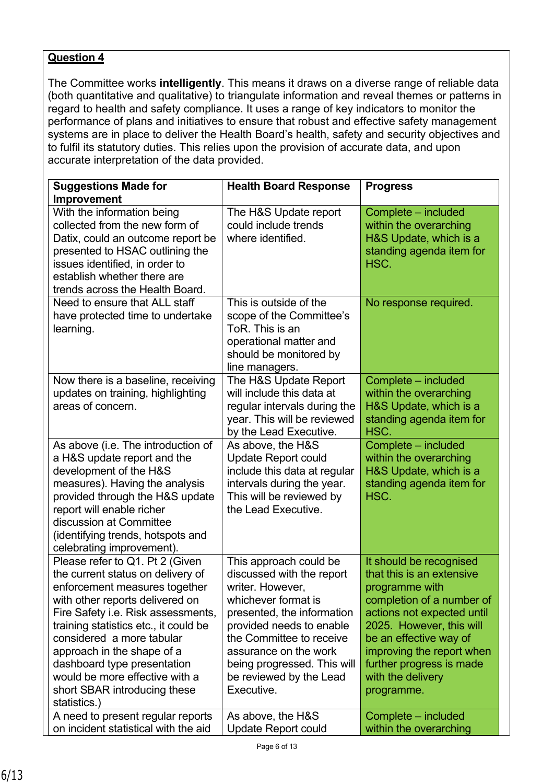The Committee works **intelligently**. This means it draws on a diverse range of reliable data (both quantitative and qualitative) to triangulate information and reveal themes or patterns in regard to health and safety compliance. It uses a range of key indicators to monitor the performance of plans and initiatives to ensure that robust and effective safety management systems are in place to deliver the Health Board's health, safety and security objectives and to fulfil its statutory duties. This relies upon the provision of accurate data, and upon accurate interpretation of the data provided.

| <b>Suggestions Made for</b>                                                                                                                                                                                                                                                                                                                                                                         | <b>Health Board Response</b>                                                                                                                                                                                                                                                          | <b>Progress</b>                                                                                                                                                                                                                                                                     |
|-----------------------------------------------------------------------------------------------------------------------------------------------------------------------------------------------------------------------------------------------------------------------------------------------------------------------------------------------------------------------------------------------------|---------------------------------------------------------------------------------------------------------------------------------------------------------------------------------------------------------------------------------------------------------------------------------------|-------------------------------------------------------------------------------------------------------------------------------------------------------------------------------------------------------------------------------------------------------------------------------------|
| Improvement                                                                                                                                                                                                                                                                                                                                                                                         |                                                                                                                                                                                                                                                                                       |                                                                                                                                                                                                                                                                                     |
| With the information being<br>collected from the new form of<br>Datix, could an outcome report be<br>presented to HSAC outlining the<br>issues identified, in order to<br>establish whether there are<br>trends across the Health Board.                                                                                                                                                            | The H&S Update report<br>could include trends<br>where identified.                                                                                                                                                                                                                    | Complete - included<br>within the overarching<br>H&S Update, which is a<br>standing agenda item for<br>HSC.                                                                                                                                                                         |
| Need to ensure that ALL staff<br>have protected time to undertake<br>learning.                                                                                                                                                                                                                                                                                                                      | This is outside of the<br>scope of the Committee's<br>ToR. This is an<br>operational matter and<br>should be monitored by<br>line managers.                                                                                                                                           | No response required.                                                                                                                                                                                                                                                               |
| Now there is a baseline, receiving<br>updates on training, highlighting<br>areas of concern.                                                                                                                                                                                                                                                                                                        | The H&S Update Report<br>will include this data at<br>regular intervals during the<br>year. This will be reviewed<br>by the Lead Executive.                                                                                                                                           | Complete - included<br>within the overarching<br>H&S Update, which is a<br>standing agenda item for<br>HSC.                                                                                                                                                                         |
| As above (i.e. The introduction of<br>a H&S update report and the<br>development of the H&S<br>measures). Having the analysis<br>provided through the H&S update<br>report will enable richer<br>discussion at Committee<br>(identifying trends, hotspots and<br>celebrating improvement).                                                                                                          | As above, the H&S<br><b>Update Report could</b><br>include this data at regular<br>intervals during the year.<br>This will be reviewed by<br>the Lead Executive.                                                                                                                      | Complete - included<br>within the overarching<br>H&S Update, which is a<br>standing agenda item for<br>HSC.                                                                                                                                                                         |
| Please refer to Q1. Pt 2 (Given<br>the current status on delivery of<br>enforcement measures together<br>with other reports delivered on<br>Fire Safety i.e. Risk assessments,<br>training statistics etc., it could be<br>considered a more tabular<br>approach in the shape of a<br>dashboard type presentation<br>would be more effective with a<br>short SBAR introducing these<br>statistics.) | This approach could be<br>discussed with the report<br>writer. However,<br>whichever format is<br>presented, the information<br>provided needs to enable<br>the Committee to receive<br>assurance on the work<br>being progressed. This will<br>be reviewed by the Lead<br>Executive. | It should be recognised<br>that this is an extensive<br>programme with<br>completion of a number of<br>actions not expected until<br>2025. However, this will<br>be an effective way of<br>improving the report when<br>further progress is made<br>with the delivery<br>programme. |
| A need to present regular reports<br>on incident statistical with the aid                                                                                                                                                                                                                                                                                                                           | As above, the H&S<br><b>Update Report could</b>                                                                                                                                                                                                                                       | Complete - included<br>within the overarching                                                                                                                                                                                                                                       |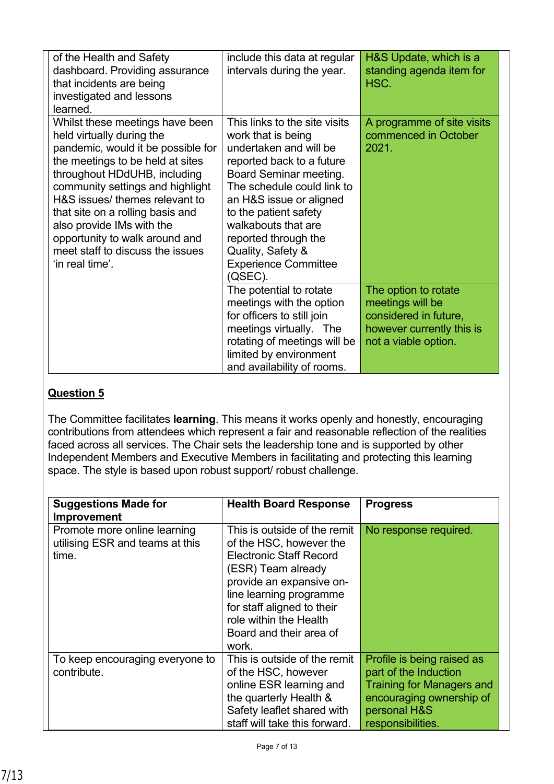| of the Health and Safety<br>dashboard. Providing assurance<br>that incidents are being<br>investigated and lessons<br>learned.                                                                                                                                                                                                                                                                         | include this data at regular<br>intervals during the year.                                                                                                                                                                                                                                                                           | H&S Update, which is a<br>standing agenda item for<br>HSC.                                                             |
|--------------------------------------------------------------------------------------------------------------------------------------------------------------------------------------------------------------------------------------------------------------------------------------------------------------------------------------------------------------------------------------------------------|--------------------------------------------------------------------------------------------------------------------------------------------------------------------------------------------------------------------------------------------------------------------------------------------------------------------------------------|------------------------------------------------------------------------------------------------------------------------|
| Whilst these meetings have been<br>held virtually during the<br>pandemic, would it be possible for<br>the meetings to be held at sites<br>throughout HDdUHB, including<br>community settings and highlight<br>H&S issues/ themes relevant to<br>that site on a rolling basis and<br>also provide IMs with the<br>opportunity to walk around and<br>meet staff to discuss the issues<br>'in real time'. | This links to the site visits<br>work that is being<br>undertaken and will be<br>reported back to a future<br>Board Seminar meeting.<br>The schedule could link to<br>an H&S issue or aligned<br>to the patient safety<br>walkabouts that are<br>reported through the<br>Quality, Safety &<br><b>Experience Committee</b><br>(QSEC). | A programme of site visits<br>commenced in October<br>2021.                                                            |
|                                                                                                                                                                                                                                                                                                                                                                                                        | The potential to rotate<br>meetings with the option<br>for officers to still join<br>meetings virtually. The<br>rotating of meetings will be<br>limited by environment<br>and availability of rooms.                                                                                                                                 | The option to rotate<br>meetings will be<br>considered in future,<br>however currently this is<br>not a viable option. |

The Committee facilitates **learning**. This means it works openly and honestly, encouraging contributions from attendees which represent a fair and reasonable reflection of the realities faced across all services. The Chair sets the leadership tone and is supported by other Independent Members and Executive Members in facilitating and protecting this learning space. The style is based upon robust support/ robust challenge.

| <b>Suggestions Made for</b><br>Improvement                               | <b>Health Board Response</b>                                                                                                                                                                                                                                       | <b>Progress</b>                                                                                                                                          |
|--------------------------------------------------------------------------|--------------------------------------------------------------------------------------------------------------------------------------------------------------------------------------------------------------------------------------------------------------------|----------------------------------------------------------------------------------------------------------------------------------------------------------|
| Promote more online learning<br>utilising ESR and teams at this<br>time. | This is outside of the remit<br>of the HSC, however the<br><b>Electronic Staff Record</b><br>(ESR) Team already<br>provide an expansive on-<br>line learning programme<br>for staff aligned to their<br>role within the Health<br>Board and their area of<br>work. | No response required.                                                                                                                                    |
| To keep encouraging everyone to<br>contribute.                           | This is outside of the remit<br>of the HSC, however<br>online ESR learning and<br>the quarterly Health &<br>Safety leaflet shared with<br>staff will take this forward.                                                                                            | Profile is being raised as<br>part of the Induction<br><b>Training for Managers and</b><br>encouraging ownership of<br>personal H&S<br>responsibilities. |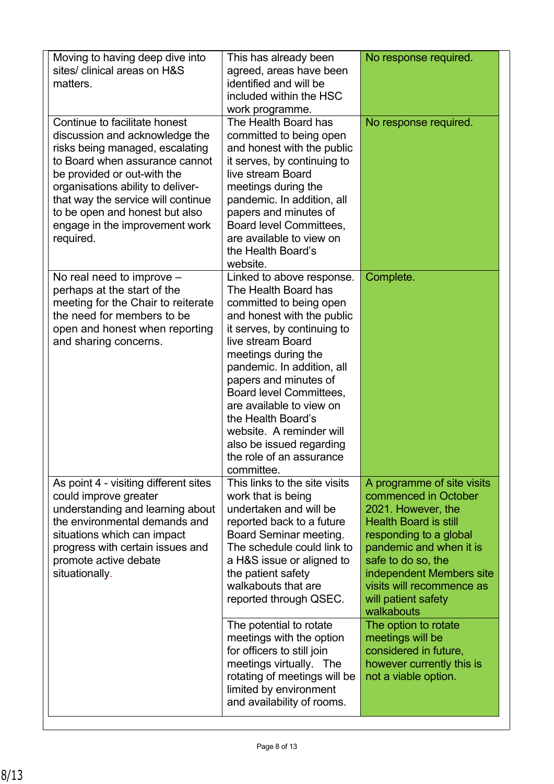| Moving to having deep dive into<br>sites/ clinical areas on H&S<br>matters.                                                                                                                                                                                                                                                     | This has already been<br>agreed, areas have been<br>identified and will be<br>included within the HSC<br>work programme.                                                                                                                                                                                                                                                                                                    | No response required.                                                                                                                                                                                                                                                             |
|---------------------------------------------------------------------------------------------------------------------------------------------------------------------------------------------------------------------------------------------------------------------------------------------------------------------------------|-----------------------------------------------------------------------------------------------------------------------------------------------------------------------------------------------------------------------------------------------------------------------------------------------------------------------------------------------------------------------------------------------------------------------------|-----------------------------------------------------------------------------------------------------------------------------------------------------------------------------------------------------------------------------------------------------------------------------------|
| Continue to facilitate honest<br>discussion and acknowledge the<br>risks being managed, escalating<br>to Board when assurance cannot<br>be provided or out-with the<br>organisations ability to deliver-<br>that way the service will continue<br>to be open and honest but also<br>engage in the improvement work<br>required. | The Health Board has<br>committed to being open<br>and honest with the public<br>it serves, by continuing to<br>live stream Board<br>meetings during the<br>pandemic. In addition, all<br>papers and minutes of<br>Board level Committees,<br>are available to view on<br>the Health Board's<br>website.                                                                                                                    | No response required.                                                                                                                                                                                                                                                             |
| No real need to improve $-$<br>perhaps at the start of the<br>meeting for the Chair to reiterate<br>the need for members to be<br>open and honest when reporting<br>and sharing concerns.                                                                                                                                       | Linked to above response.<br>The Health Board has<br>committed to being open<br>and honest with the public<br>it serves, by continuing to<br>live stream Board<br>meetings during the<br>pandemic. In addition, all<br>papers and minutes of<br>Board level Committees,<br>are available to view on<br>the Health Board's<br>website. A reminder will<br>also be issued regarding<br>the role of an assurance<br>committee. | Complete.                                                                                                                                                                                                                                                                         |
| As point 4 - visiting different sites<br>could improve greater<br>understanding and learning about<br>the environmental demands and<br>situations which can impact<br>progress with certain issues and<br>promote active debate<br>situationally.                                                                               | This links to the site visits<br>work that is being<br>undertaken and will be<br>reported back to a future<br>Board Seminar meeting.<br>The schedule could link to<br>a H&S issue or aligned to<br>the patient safety<br>walkabouts that are<br>reported through QSEC.                                                                                                                                                      | A programme of site visits<br>commenced in October<br>2021. However, the<br><b>Health Board is still</b><br>responding to a global<br>pandemic and when it is<br>safe to do so, the<br>independent Members site<br>visits will recommence as<br>will patient safety<br>walkabouts |
|                                                                                                                                                                                                                                                                                                                                 | The potential to rotate<br>meetings with the option<br>for officers to still join<br>meetings virtually. The<br>rotating of meetings will be<br>limited by environment<br>and availability of rooms.                                                                                                                                                                                                                        | The option to rotate<br>meetings will be<br>considered in future,<br>however currently this is<br>not a viable option.                                                                                                                                                            |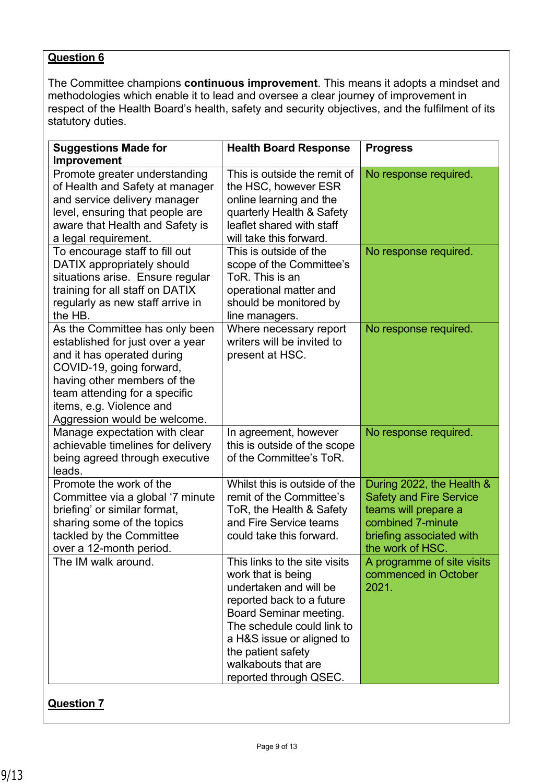The Committee champions **continuous improvement**. This means it adopts a mindset and methodologies which enable it to lead and oversee a clear journey of improvement in respect of the Health Board's health, safety and security objectives, and the fulfilment of its statutory duties.

| <b>Suggestions Made for</b><br><b>Improvement</b>                                                                                                                                                                                                        | <b>Health Board Response</b>                                                                                                                                                                                                                                           | <b>Progress</b>                                                                                                                                          |
|----------------------------------------------------------------------------------------------------------------------------------------------------------------------------------------------------------------------------------------------------------|------------------------------------------------------------------------------------------------------------------------------------------------------------------------------------------------------------------------------------------------------------------------|----------------------------------------------------------------------------------------------------------------------------------------------------------|
| Promote greater understanding<br>of Health and Safety at manager<br>and service delivery manager<br>level, ensuring that people are<br>aware that Health and Safety is<br>a legal requirement.                                                           | This is outside the remit of<br>the HSC, however ESR<br>online learning and the<br>quarterly Health & Safety<br>leaflet shared with staff<br>will take this forward.                                                                                                   | No response required.                                                                                                                                    |
| To encourage staff to fill out<br>DATIX appropriately should<br>situations arise. Ensure regular<br>training for all staff on DATIX<br>regularly as new staff arrive in<br>the HB.                                                                       | This is outside of the<br>scope of the Committee's<br>ToR. This is an<br>operational matter and<br>should be monitored by<br>line managers.                                                                                                                            | No response required.                                                                                                                                    |
| As the Committee has only been<br>established for just over a year<br>and it has operated during<br>COVID-19, going forward,<br>having other members of the<br>team attending for a specific<br>items, e.g. Violence and<br>Aggression would be welcome. | Where necessary report<br>writers will be invited to<br>present at HSC.                                                                                                                                                                                                | No response required.                                                                                                                                    |
| Manage expectation with clear<br>achievable timelines for delivery<br>being agreed through executive<br>leads.                                                                                                                                           | In agreement, however<br>this is outside of the scope<br>of the Committee's ToR.                                                                                                                                                                                       | No response required.                                                                                                                                    |
| Promote the work of the<br>Committee via a global '7 minute<br>briefing' or similar format,<br>sharing some of the topics<br>tackled by the Committee<br>over a 12-month period.                                                                         | Whilst this is outside of the<br>remit of the Committee's<br>ToR, the Health & Safety<br>and Fire Service teams<br>could take this forward.                                                                                                                            | During 2022, the Health &<br><b>Safety and Fire Service</b><br>teams will prepare a<br>combined 7-minute<br>briefing associated with<br>the work of HSC. |
| The IM walk around.                                                                                                                                                                                                                                      | This links to the site visits<br>work that is being<br>undertaken and will be<br>reported back to a future<br>Board Seminar meeting.<br>The schedule could link to<br>a H&S issue or aligned to<br>the patient safety<br>walkabouts that are<br>reported through QSEC. | A programme of site visits<br>commenced in October<br>2021.                                                                                              |

### **Question 7**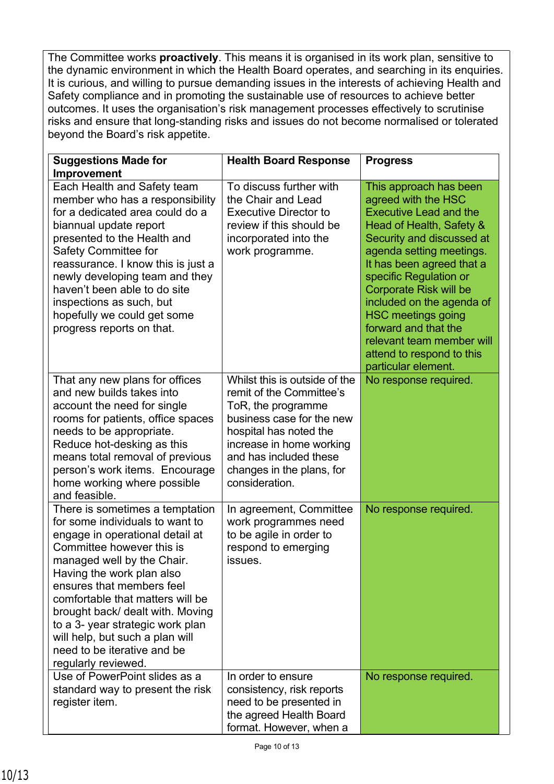The Committee works **proactively**. This means it is organised in its work plan, sensitive to the dynamic environment in which the Health Board operates, and searching in its enquiries. It is curious, and willing to pursue demanding issues in the interests of achieving Health and Safety compliance and in promoting the sustainable use of resources to achieve better outcomes. It uses the organisation's risk management processes effectively to scrutinise risks and ensure that long-standing risks and issues do not become normalised or tolerated beyond the Board's risk appetite.

| <b>Suggestions Made for</b><br>Improvement                                                                                                                                                                                                                                                                                                                                                                                      | <b>Health Board Response</b>                                                                                                                                                                                                                | <b>Progress</b>                                                                                                                                                                                                                                                                                                                                                                                                                |
|---------------------------------------------------------------------------------------------------------------------------------------------------------------------------------------------------------------------------------------------------------------------------------------------------------------------------------------------------------------------------------------------------------------------------------|---------------------------------------------------------------------------------------------------------------------------------------------------------------------------------------------------------------------------------------------|--------------------------------------------------------------------------------------------------------------------------------------------------------------------------------------------------------------------------------------------------------------------------------------------------------------------------------------------------------------------------------------------------------------------------------|
| Each Health and Safety team<br>member who has a responsibility<br>for a dedicated area could do a<br>biannual update report<br>presented to the Health and<br><b>Safety Committee for</b><br>reassurance. I know this is just a<br>newly developing team and they<br>haven't been able to do site<br>inspections as such, but<br>hopefully we could get some<br>progress reports on that.                                       | To discuss further with<br>the Chair and Lead<br><b>Executive Director to</b><br>review if this should be<br>incorporated into the<br>work programme.                                                                                       | This approach has been<br>agreed with the HSC<br><b>Executive Lead and the</b><br>Head of Health, Safety &<br>Security and discussed at<br>agenda setting meetings.<br>It has been agreed that a<br>specific Regulation or<br><b>Corporate Risk will be</b><br>included on the agenda of<br><b>HSC meetings going</b><br>forward and that the<br>relevant team member will<br>attend to respond to this<br>particular element. |
| That any new plans for offices<br>and new builds takes into<br>account the need for single<br>rooms for patients, office spaces<br>needs to be appropriate.<br>Reduce hot-desking as this<br>means total removal of previous<br>person's work items. Encourage<br>home working where possible<br>and feasible.                                                                                                                  | Whilst this is outside of the<br>remit of the Committee's<br>ToR, the programme<br>business case for the new<br>hospital has noted the<br>increase in home working<br>and has included these<br>changes in the plans, for<br>consideration. | No response required.                                                                                                                                                                                                                                                                                                                                                                                                          |
| There is sometimes a temptation<br>for some individuals to want to<br>engage in operational detail at<br>Committee however this is<br>managed well by the Chair.<br>Having the work plan also<br>ensures that members feel<br>comfortable that matters will be<br>brought back/ dealt with. Moving<br>to a 3- year strategic work plan<br>will help, but such a plan will<br>need to be iterative and be<br>regularly reviewed. | In agreement, Committee<br>work programmes need<br>to be agile in order to<br>respond to emerging<br>issues.                                                                                                                                | No response required.                                                                                                                                                                                                                                                                                                                                                                                                          |
| Use of PowerPoint slides as a<br>standard way to present the risk<br>register item.                                                                                                                                                                                                                                                                                                                                             | In order to ensure<br>consistency, risk reports<br>need to be presented in<br>the agreed Health Board<br>format. However, when a                                                                                                            | No response required.                                                                                                                                                                                                                                                                                                                                                                                                          |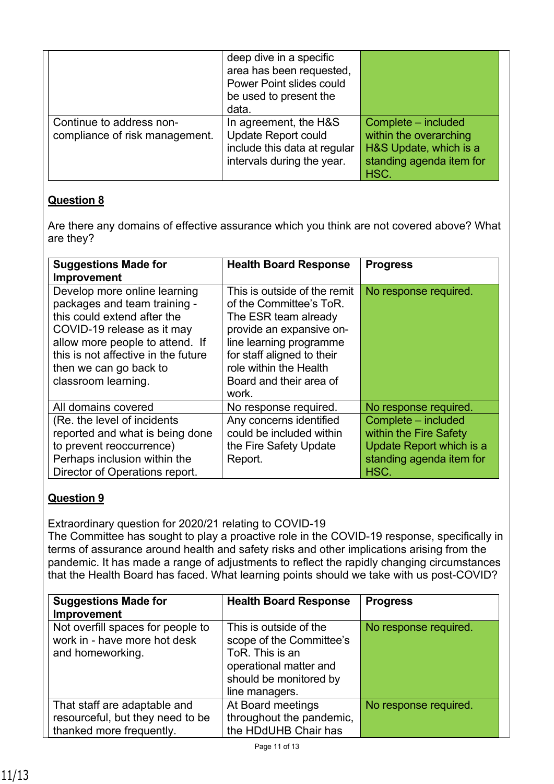|                                                            | deep dive in a specific<br>area has been requested,<br>Power Point slides could<br>be used to present the<br>data. |                                                                                                             |
|------------------------------------------------------------|--------------------------------------------------------------------------------------------------------------------|-------------------------------------------------------------------------------------------------------------|
| Continue to address non-<br>compliance of risk management. | In agreement, the H&S<br><b>Update Report could</b><br>include this data at regular<br>intervals during the year.  | Complete - included<br>within the overarching<br>H&S Update, which is a<br>standing agenda item for<br>HSC. |

Are there any domains of effective assurance which you think are not covered above? What are they?

| <b>Suggestions Made for</b><br>Improvement                                                                                                                                                                                                           | <b>Health Board Response</b>                                                                                                                                                                                                       | <b>Progress</b>                                                                                               |
|------------------------------------------------------------------------------------------------------------------------------------------------------------------------------------------------------------------------------------------------------|------------------------------------------------------------------------------------------------------------------------------------------------------------------------------------------------------------------------------------|---------------------------------------------------------------------------------------------------------------|
| Develop more online learning<br>packages and team training -<br>this could extend after the<br>COVID-19 release as it may<br>allow more people to attend. If<br>this is not affective in the future<br>then we can go back to<br>classroom learning. | This is outside of the remit<br>of the Committee's ToR.<br>The ESR team already<br>provide an expansive on-<br>line learning programme<br>for staff aligned to their<br>role within the Health<br>Board and their area of<br>work. | No response required.                                                                                         |
| All domains covered                                                                                                                                                                                                                                  | No response required.                                                                                                                                                                                                              | No response required.                                                                                         |
| (Re. the level of incidents<br>reported and what is being done<br>to prevent reoccurrence)<br>Perhaps inclusion within the<br>Director of Operations report.                                                                                         | Any concerns identified<br>could be included within<br>the Fire Safety Update<br>Report.                                                                                                                                           | Complete – included<br>within the Fire Safety<br>Update Report which is a<br>standing agenda item for<br>HSC. |

### **Question 9**

Extraordinary question for 2020/21 relating to COVID-19

The Committee has sought to play a proactive role in the COVID-19 response, specifically in terms of assurance around health and safety risks and other implications arising from the pandemic. It has made a range of adjustments to reflect the rapidly changing circumstances that the Health Board has faced. What learning points should we take with us post-COVID?

| <b>Suggestions Made for</b><br>Improvement                                                   | <b>Health Board Response</b>                                                                                                                | <b>Progress</b>       |
|----------------------------------------------------------------------------------------------|---------------------------------------------------------------------------------------------------------------------------------------------|-----------------------|
| Not overfill spaces for people to<br>work in - have more hot desk<br>and homeworking.        | This is outside of the<br>scope of the Committee's<br>ToR. This is an<br>operational matter and<br>should be monitored by<br>line managers. | No response required. |
| That staff are adaptable and<br>resourceful, but they need to be<br>thanked more frequently. | At Board meetings<br>throughout the pandemic,<br>the HDdUHB Chair has                                                                       | No response required. |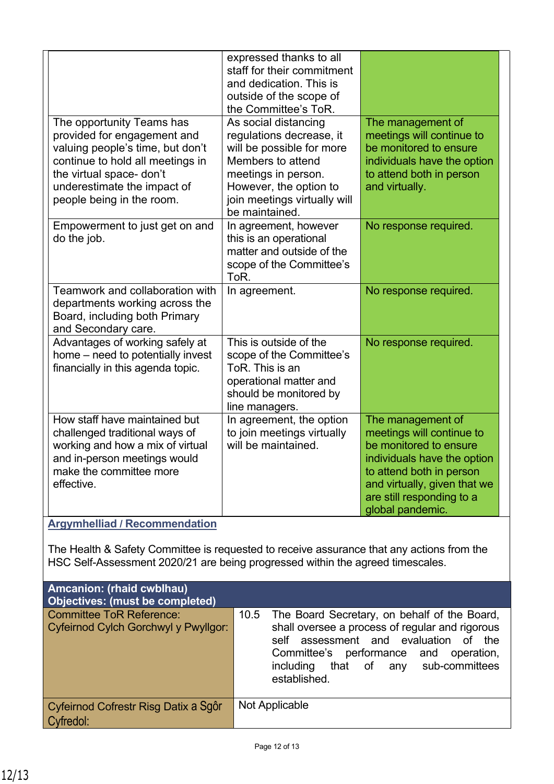|                                                                                                                                                                                                                          | expressed thanks to all<br>staff for their commitment<br>and dedication. This is<br>outside of the scope of<br>the Committee's ToR.                                                                   |                                                                                                                                                                                                                      |
|--------------------------------------------------------------------------------------------------------------------------------------------------------------------------------------------------------------------------|-------------------------------------------------------------------------------------------------------------------------------------------------------------------------------------------------------|----------------------------------------------------------------------------------------------------------------------------------------------------------------------------------------------------------------------|
| The opportunity Teams has<br>provided for engagement and<br>valuing people's time, but don't<br>continue to hold all meetings in<br>the virtual space- don't<br>underestimate the impact of<br>people being in the room. | As social distancing<br>regulations decrease, it<br>will be possible for more<br>Members to attend<br>meetings in person.<br>However, the option to<br>join meetings virtually will<br>be maintained. | The management of<br>meetings will continue to<br>be monitored to ensure<br>individuals have the option<br>to attend both in person<br>and virtually.                                                                |
| Empowerment to just get on and<br>do the job.                                                                                                                                                                            | In agreement, however<br>this is an operational<br>matter and outside of the<br>scope of the Committee's<br>ToR.                                                                                      | No response required.                                                                                                                                                                                                |
| Teamwork and collaboration with<br>departments working across the<br>Board, including both Primary<br>and Secondary care.                                                                                                | In agreement.                                                                                                                                                                                         | No response required.                                                                                                                                                                                                |
| Advantages of working safely at<br>home – need to potentially invest<br>financially in this agenda topic.                                                                                                                | This is outside of the<br>scope of the Committee's<br>ToR. This is an<br>operational matter and<br>should be monitored by<br>line managers.                                                           | No response required.                                                                                                                                                                                                |
| How staff have maintained but<br>challenged traditional ways of<br>working and how a mix of virtual<br>and in-person meetings would<br>make the committee more<br>effective.                                             | In agreement, the option<br>to join meetings virtually<br>will be maintained.                                                                                                                         | The management of<br>meetings will continue to<br>be monitored to ensure<br>individuals have the option<br>to attend both in person<br>and virtually, given that we<br>are still responding to a<br>global pandemic. |

### **Argymhelliad / Recommendation**

The Health & Safety Committee is requested to receive assurance that any actions from the HSC Self-Assessment 2020/21 are being progressed within the agreed timescales.

| <b>Amcanion: (rhaid cwblhau)</b><br>Objectives: (must be completed) |                                                                                                                                                                                                                                                       |
|---------------------------------------------------------------------|-------------------------------------------------------------------------------------------------------------------------------------------------------------------------------------------------------------------------------------------------------|
| Committee ToR Reference:<br>Cyfeirnod Cylch Gorchwyl y Pwyllgor:    | 10.5 The Board Secretary, on behalf of the Board,<br>shall oversee a process of regular and rigorous<br>assessment and evaluation of<br>the<br>self<br>Committee's performance and operation,<br>including that of any sub-committees<br>established. |
| Cyfeirnod Cofrestr Risg Datix a Sgôr<br>Cyfredol:                   | Not Applicable                                                                                                                                                                                                                                        |